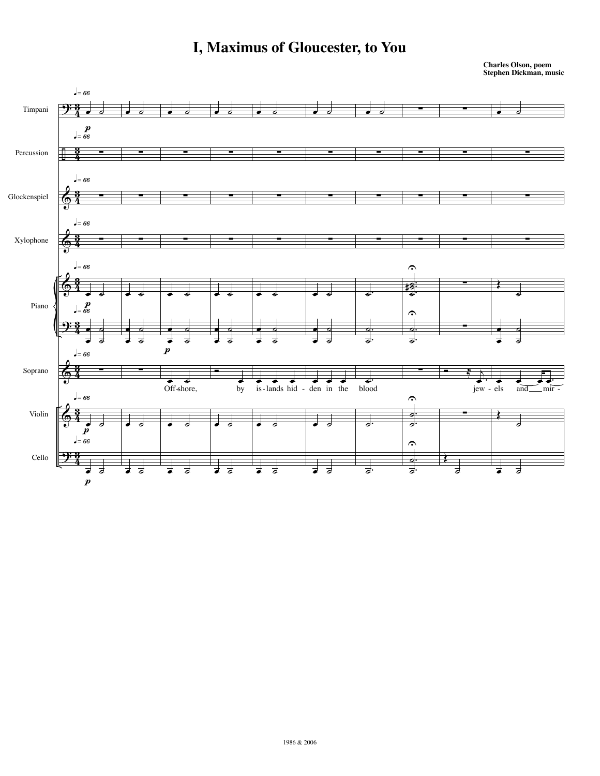## **I, Maximus of Gloucester, to You**

**Charles Olson, poem Stephen Dickman, music**

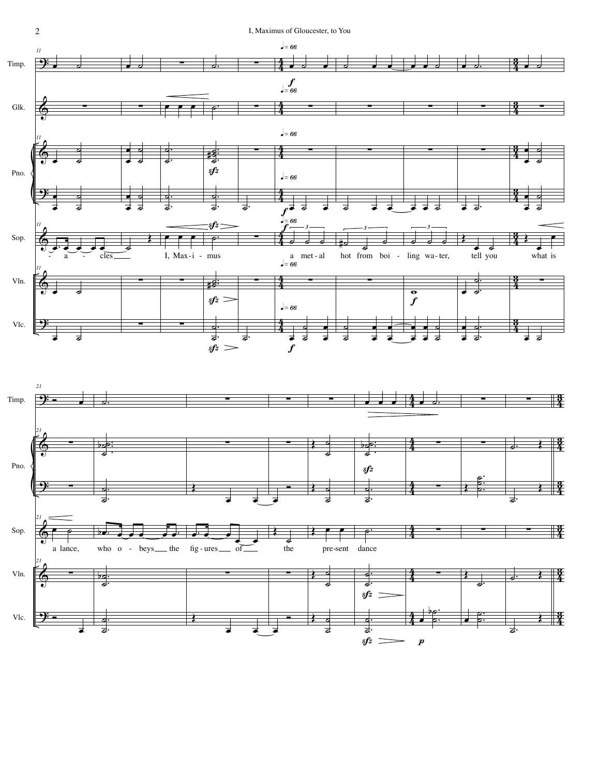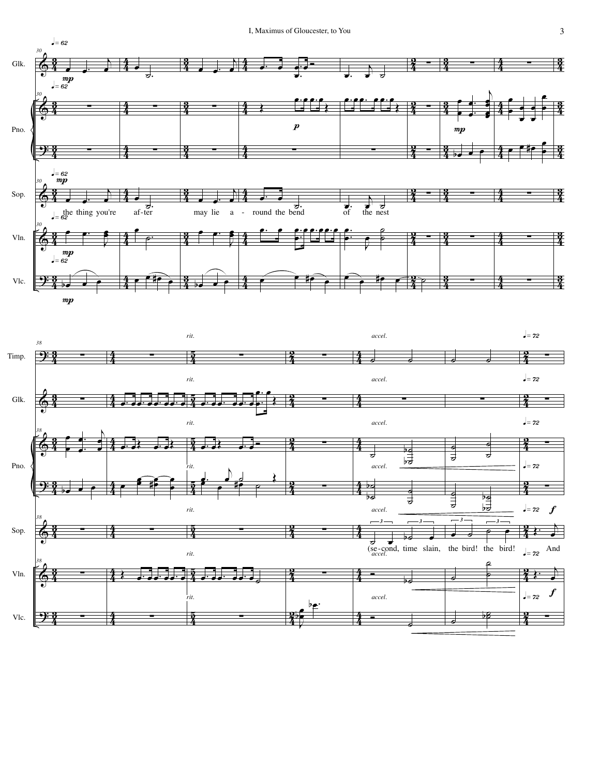

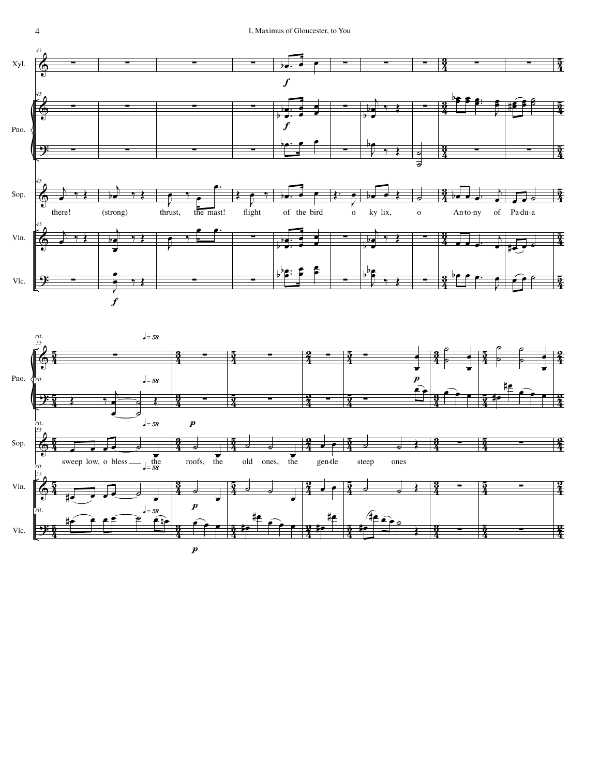

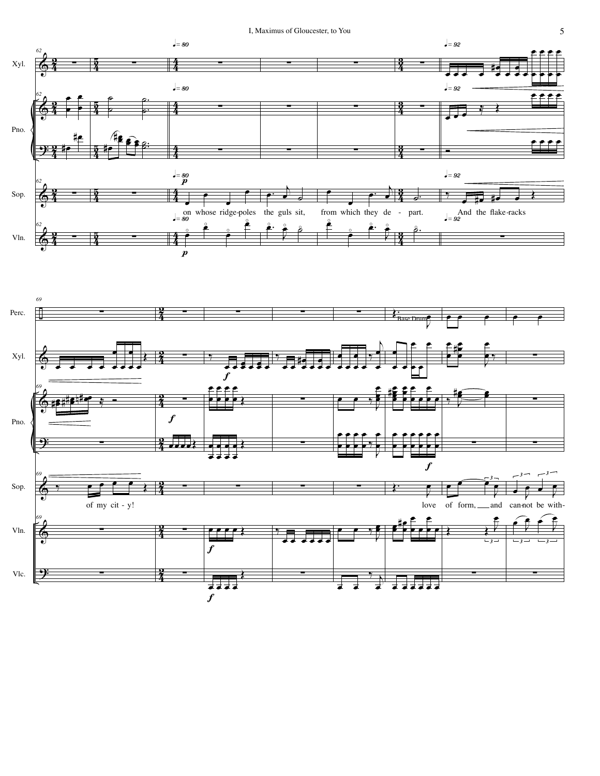

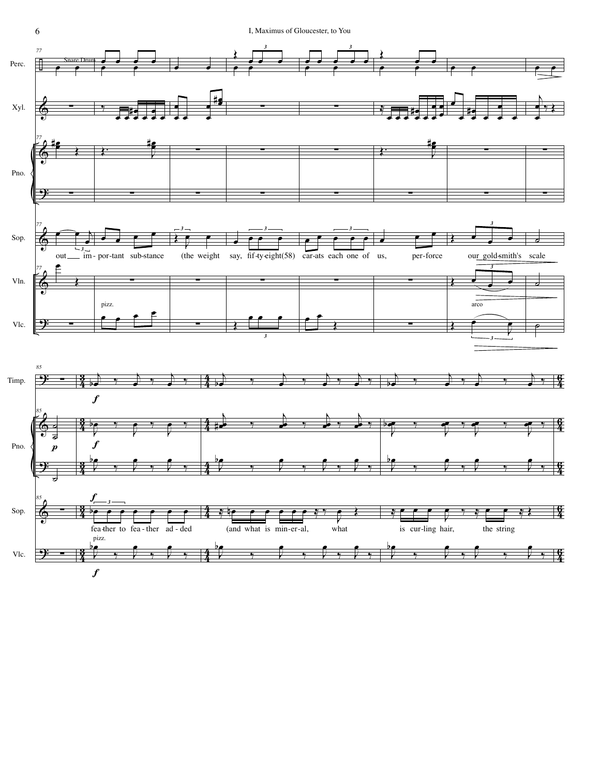6 I, Maximus of Gloucester, to You

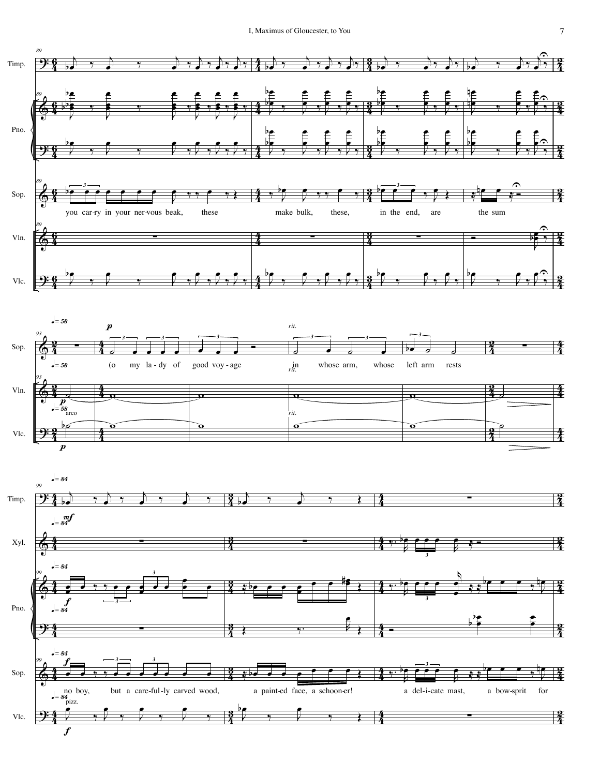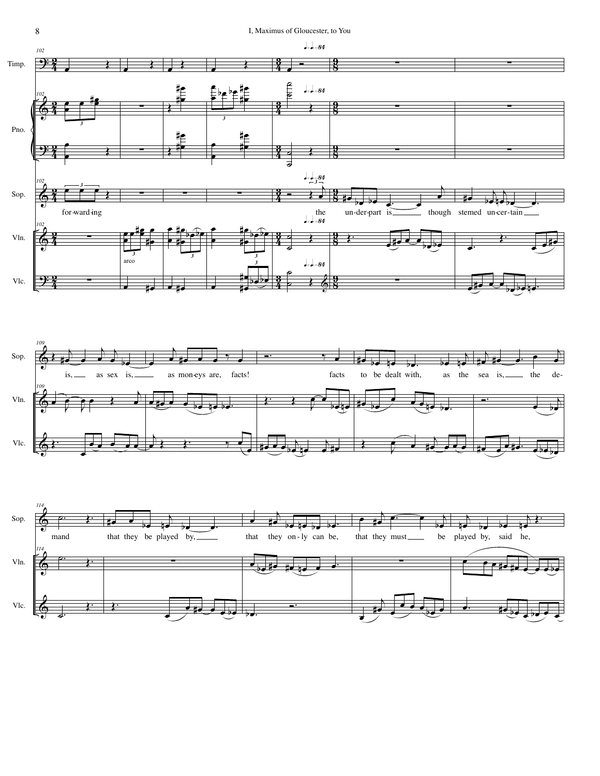



 $\,$  8  $\,$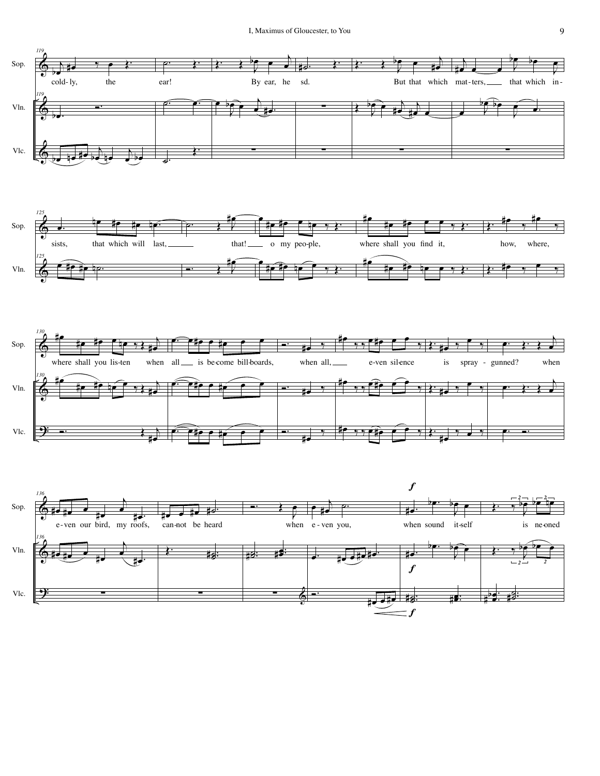





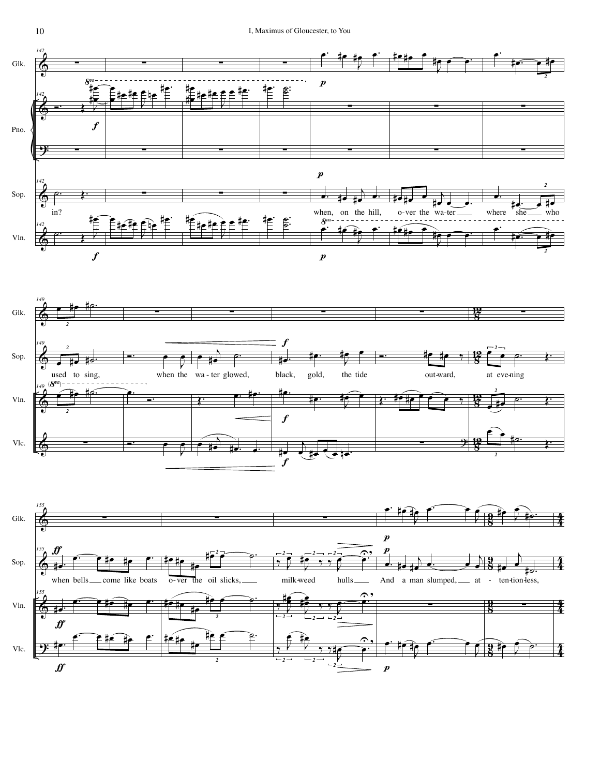





10

## I, Maximus of Gloucester, to You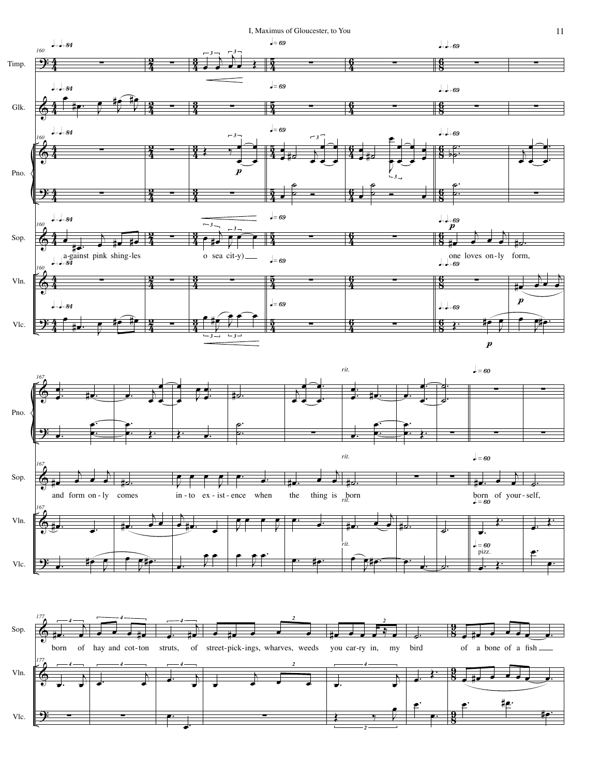

∑

*2*

<u>ጀ</u>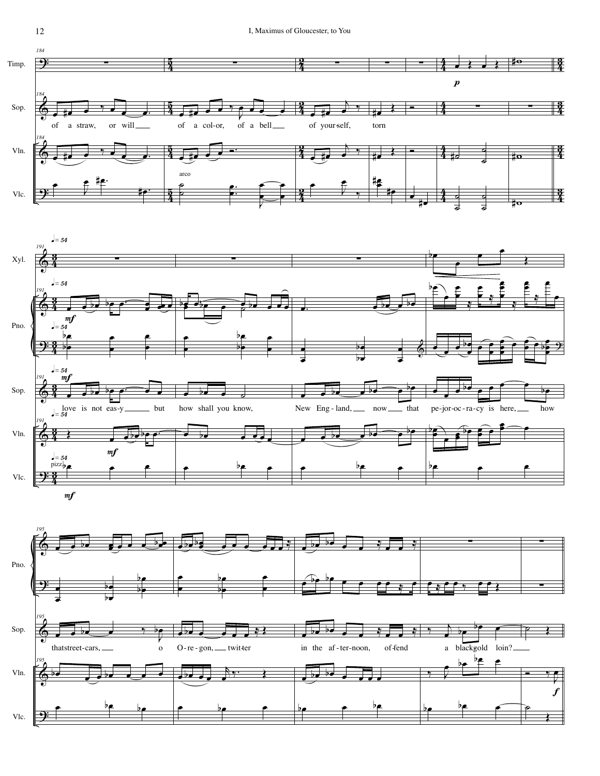

## 12 I, Maximus of Gloucester, to You





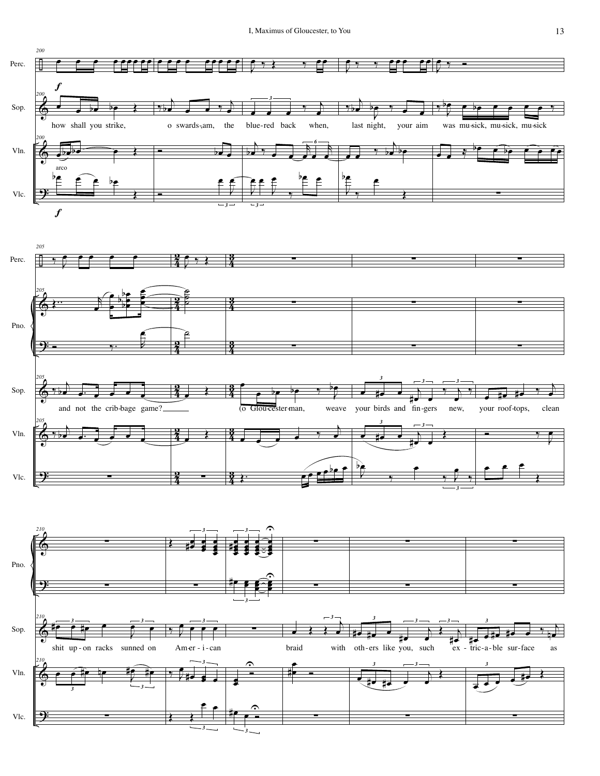

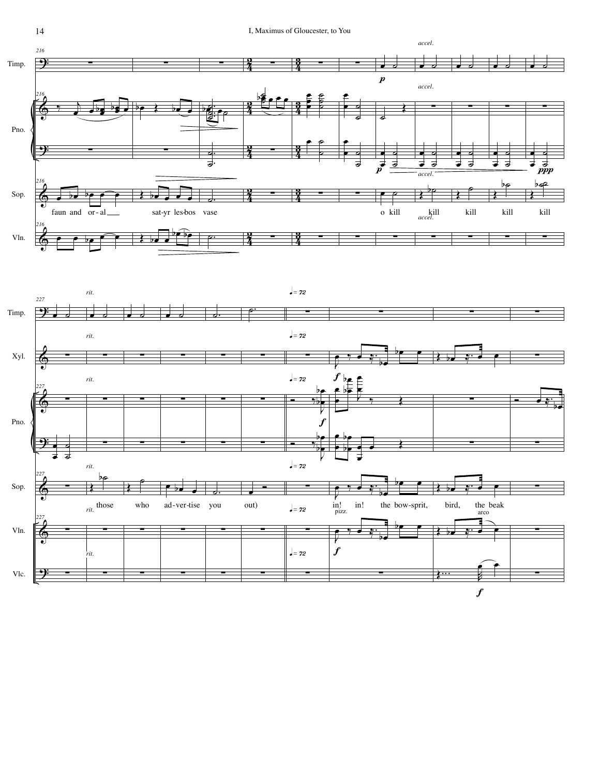

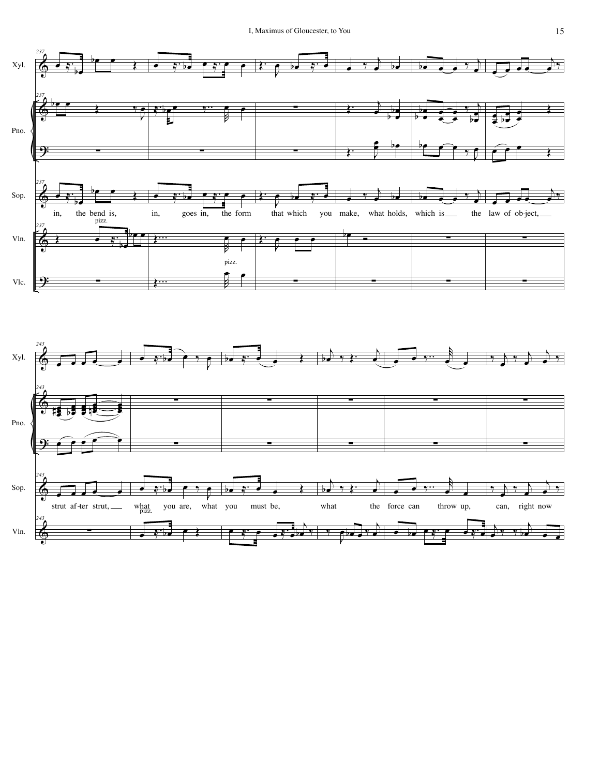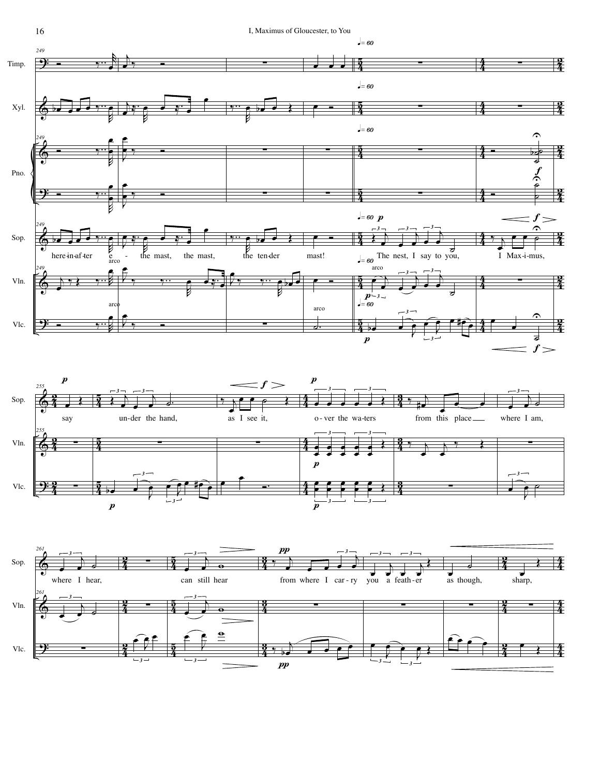



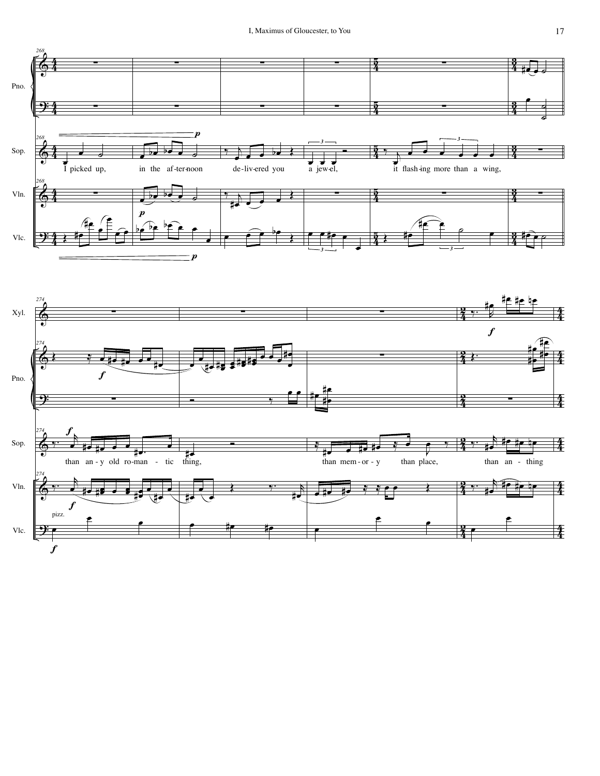